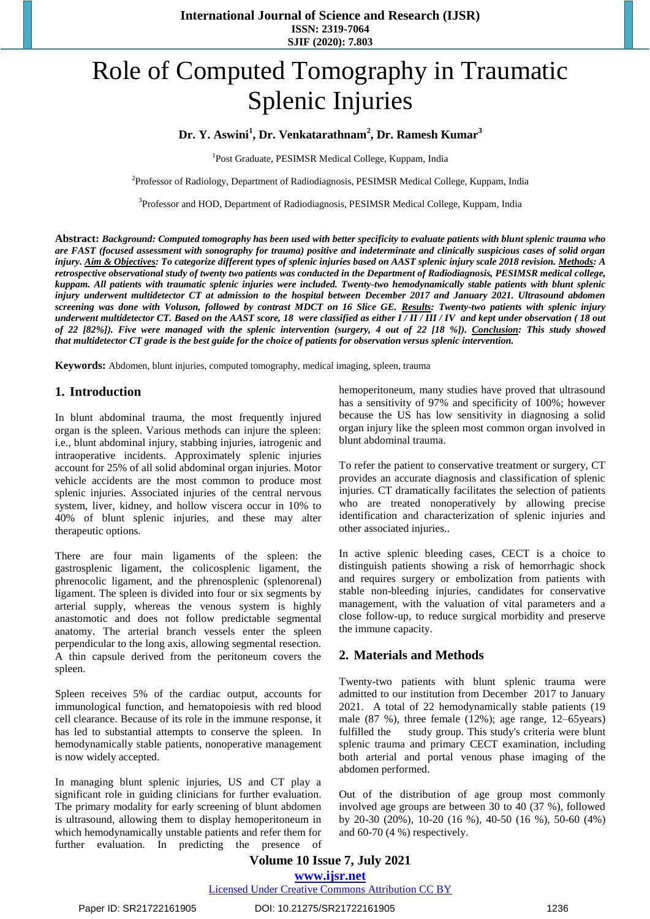# Role of Computed Tomography in Traumatic Splenic Injuries

# **Dr. Y. Aswini<sup>1</sup> , Dr. Venkatarathnam<sup>2</sup> , Dr. Ramesh Kumar<sup>3</sup>**

<sup>1</sup>Post Graduate, PESIMSR Medical College, Kuppam, India

<sup>2</sup> Professor of Radiology, Department of Radiodiagnosis, PESIMSR Medical College, Kuppam, India

<sup>3</sup>Professor and HOD, Department of Radiodiagnosis, PESIMSR Medical College, Kuppam, India

**Abstract:** *Background: Computed tomography has been used with better specificity to evaluate patients with blunt splenic trauma who are FAST (focused assessment with sonography for trauma) positive and indeterminate and clinically suspicious cases of solid organ injury. Aim & Objectives: To categorize different types of splenic injuries based on AAST splenic injury scale 2018 revision. Methods: A retrospective observational study of twenty two patients was conducted in the Department of Radiodiagnosis, PESIMSR medical college, kuppam. All patients with traumatic splenic injuries were included. Twenty-two hemodynamically stable patients with blunt splenic injury underwent multidetector CT at admission to the hospital between December 2017 and January 2021. Ultrasound abdomen screening was done with Voluson, followed by contrast MDCT on 16 Slice GE. Results: Twenty-two patients with splenic injury underwent multidetector CT. Based on the AAST score, 18 were classified as either I / II / III / IV and kept under observation ( 18 out of 22 [82%]). Five were managed with the splenic intervention (surgery, 4 out of 22 [18 %]). Conclusion: This study showed that multidetector CT grade is the best guide for the choice of patients for observation versus splenic intervention.*

**Keywords:** Abdomen, blunt injuries, computed tomography, medical imaging, spleen, trauma

# **1. Introduction**

In blunt abdominal trauma, the most frequently injured organ is the spleen. Various methods can injure the spleen: i.e., blunt abdominal injury, stabbing injuries, iatrogenic and intraoperative incidents. Approximately splenic injuries account for 25% of all solid abdominal organ injuries. Motor vehicle accidents are the most common to produce most splenic injuries. Associated injuries of the central nervous system, liver, kidney, and hollow viscera occur in 10% to 40% of blunt splenic injuries, and these may alter therapeutic options.

There are four main ligaments of the spleen: the gastrosplenic ligament, the colicosplenic ligament, the phrenocolic ligament, and the phrenosplenic (splenorenal) ligament. The spleen is divided into four or six segments by arterial supply, whereas the venous system is highly anastomotic and does not follow predictable segmental anatomy. The arterial branch vessels enter the spleen perpendicular to the long axis, allowing segmental resection. A thin capsule derived from the peritoneum covers the spleen.

Spleen receives 5% of the cardiac output, accounts for immunological function, and hematopoiesis with red blood cell clearance. Because of its role in the immune response, it has led to substantial attempts to conserve the spleen. In hemodynamically stable patients, nonoperative management is now widely accepted.

In managing blunt splenic injuries, US and CT play a significant role in guiding clinicians for further evaluation. The primary modality for early screening of blunt abdomen is ultrasound, allowing them to display hemoperitoneum in which hemodynamically unstable patients and refer them for further evaluation. In predicting the presence of hemoperitoneum, many studies have proved that ultrasound has a sensitivity of 97% and specificity of 100%; however because the US has low sensitivity in diagnosing a solid organ injury like the spleen most common organ involved in blunt abdominal trauma.

To refer the patient to conservative treatment or surgery, CT provides an accurate diagnosis and classification of splenic injuries. CT dramatically facilitates the selection of patients who are treated nonoperatively by allowing precise identification and characterization of splenic injuries and other associated injuries..

In active splenic bleeding cases, CECT is a choice to distinguish patients showing a risk of hemorrhagic shock and requires surgery or embolization from patients with stable non-bleeding injuries, candidates for conservative management, with the valuation of vital parameters and a close follow-up, to reduce surgical morbidity and preserve the immune capacity.

# **2. Materials and Methods**

Twenty-two patients with blunt splenic trauma were admitted to our institution from December 2017 to January 2021. A total of 22 hemodynamically stable patients (19 male (87 %), three female (12%); age range, 12–65years) fulfilled the study group. This study's criteria were blunt splenic trauma and primary CECT examination, including both arterial and portal venous phase imaging of the abdomen performed.

Out of the distribution of age group most commonly involved age groups are between 30 to 40 (37 %), followed by 20-30 (20%), 10-20 (16 %), 40-50 (16 %), 50-60 (4%) and 60-70 (4 %) respectively.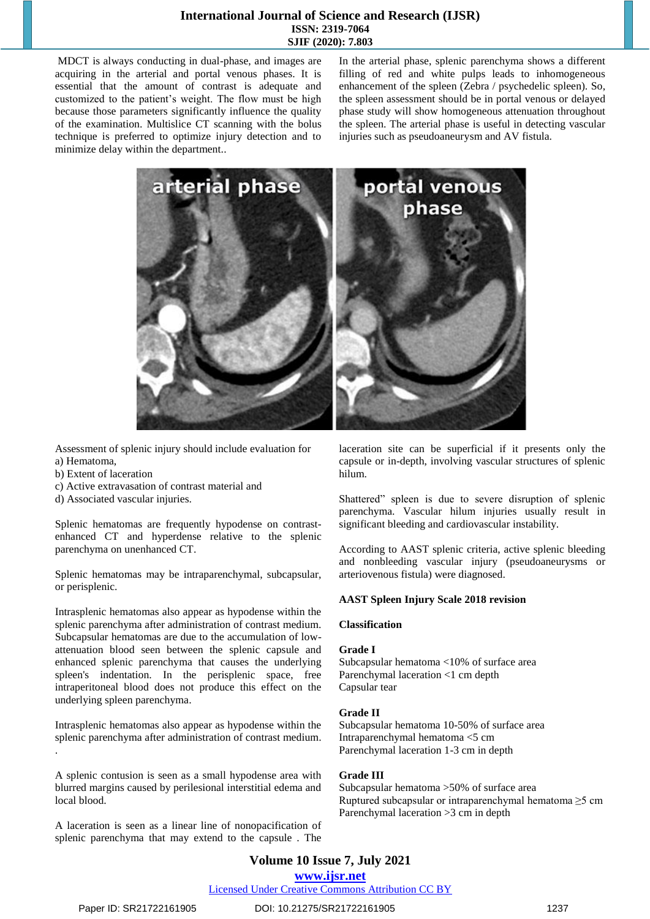## **International Journal of Science and Research (IJSR) ISSN: 2319-7064 SJIF (2020): 7.803**

MDCT is always conducting in dual-phase, and images are acquiring in the arterial and portal venous phases. It is essential that the amount of contrast is adequate and customized to the patient's weight. The flow must be high because those parameters significantly influence the quality of the examination. Multislice CT scanning with the bolus technique is preferred to optimize injury detection and to minimize delay within the department..

In the arterial phase, splenic parenchyma shows a different filling of red and white pulps leads to inhomogeneous enhancement of the spleen (Zebra / psychedelic spleen). So, the spleen assessment should be in portal venous or delayed phase study will show homogeneous attenuation throughout the spleen. The arterial phase is useful in detecting vascular injuries such as pseudoaneurysm and AV fistula.



Assessment of splenic injury should include evaluation for a) Hematoma,

- b) Extent of laceration
- c) Active extravasation of contrast material and
- d) Associated vascular injuries.

Splenic hematomas are frequently hypodense on contrastenhanced CT and hyperdense relative to the splenic parenchyma on unenhanced CT.

Splenic hematomas may be intraparenchymal, subcapsular, or perisplenic.

Intrasplenic hematomas also appear as hypodense within the splenic parenchyma after administration of contrast medium. Subcapsular hematomas are due to the accumulation of lowattenuation blood seen between the splenic capsule and enhanced splenic parenchyma that causes the underlying spleen's indentation. In the perisplenic space, free intraperitoneal blood does not produce this effect on the underlying spleen parenchyma.

Intrasplenic hematomas also appear as hypodense within the splenic parenchyma after administration of contrast medium. .

A splenic contusion is seen as a small hypodense area with blurred margins caused by perilesional interstitial edema and local blood.

A laceration is seen as a linear line of nonopacification of splenic parenchyma that may extend to the capsule . The laceration site can be superficial if it presents only the capsule or in-depth, involving vascular structures of splenic hilum.

Shattered" spleen is due to severe disruption of splenic parenchyma. Vascular hilum injuries usually result in significant bleeding and cardiovascular instability.

According to AAST splenic criteria, active splenic bleeding and nonbleeding vascular injury (pseudoaneurysms or arteriovenous fistula) were diagnosed.

#### **AAST Spleen Injury Scale 2018 revision**

#### **Classification**

#### **Grade I**

[Subcapsular hematoma](https://radiopaedia.org/articles/subcapsular-splenic-haematoma?lang=us) <10% of surface area Parenchymal laceration <1 cm depth Capsular tear

#### **Grade II**

[Subcapsular hematoma](https://radiopaedia.org/articles/subcapsular-splenic-haematoma?lang=us) 10-50% of surface area Intraparenchymal hematoma <5 cm Parenchymal laceration 1-3 cm in depth

#### **Grade III**

[Subcapsular hematoma](https://radiopaedia.org/articles/subcapsular-splenic-haematoma?lang=us) >50% of surface area Ruptured subcapsular or intraparenchymal hematoma ≥5 cm Parenchymal laceration >3 cm in depth

# **Volume 10 Issue 7, July 2021**

## **www.ijsr.net**

# Licensed Under Creative Commons Attribution CC BY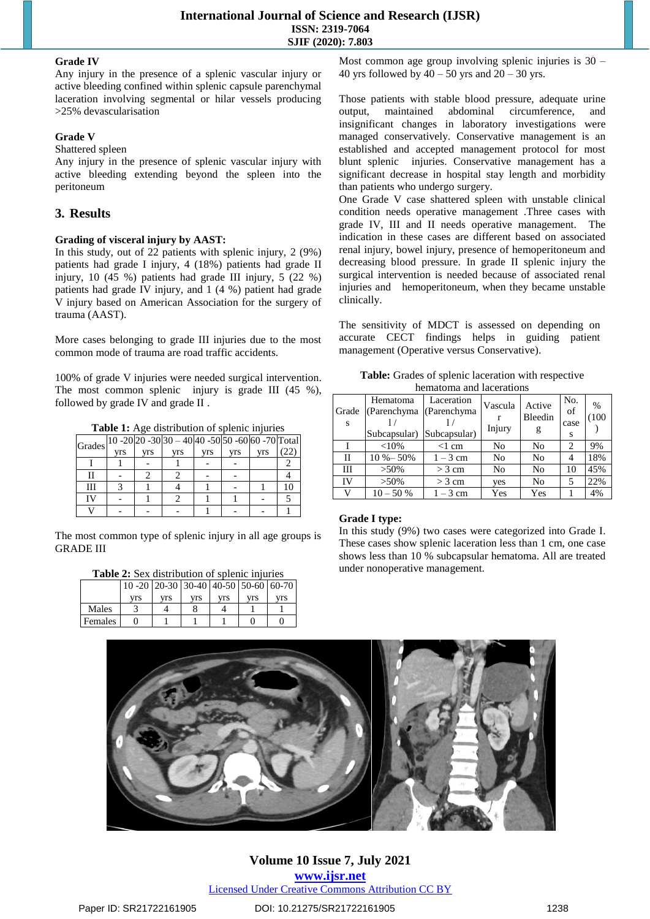#### **Grade IV**

Any injury in the presence of a splenic vascular injury or active bleeding confined within splenic capsule parenchymal laceration involving segmental or hilar vessels producing >25% devascularisation

#### **Grade V**

#### Shattered spleen

Any injury in the presence of splenic vascular injury with active bleeding extending beyond the spleen into the peritoneum

# **3. Results**

#### **Grading of visceral injury by AAST:**

In this study, out of 22 patients with splenic injury, 2 (9%) patients had grade I injury, 4 (18%) patients had grade II injury, 10 (45 %) patients had grade III injury, 5 (22 %) patients had grade IV injury, and 1 (4 %) patient had grade V injury based on American Association for the surgery of trauma (AAST).

More cases belonging to grade III injuries due to the most common mode of trauma are road traffic accidents.

100% of grade V injuries were needed surgical intervention. The most common splenic injury is grade III (45 %), followed by grade IV and grade II .

**Table 1:** Age distribution of splenic injuries

| Grades   10 -20   20 -30   30 - 40   40 -50   50 -60   60 -70   Total |     |     |     |     |            |            |  |
|-----------------------------------------------------------------------|-----|-----|-----|-----|------------|------------|--|
|                                                                       | vrs | vrs | vrs | vrs | <b>Vrs</b> | <b>Vrs</b> |  |
|                                                                       |     |     |     |     |            |            |  |
|                                                                       |     |     |     |     |            |            |  |
|                                                                       |     |     |     |     |            |            |  |
|                                                                       |     |     |     |     |            |            |  |
|                                                                       |     |     |     |     |            |            |  |

The most common type of splenic injury in all age groups is GRADE III

| <b>Table 2:</b> Sex distribution of splenic injuries |  |  |
|------------------------------------------------------|--|--|
|                                                      |  |  |

|         | 10 -20   20 -30   30 -40   40 -50   50 -60   60 -70 |     |     |     |     |     |
|---------|-----------------------------------------------------|-----|-----|-----|-----|-----|
|         | vrs                                                 | vrs | vrs | vrs | vrs | vrs |
| Males   |                                                     |     |     |     |     |     |
| Females |                                                     |     |     |     |     |     |

Most common age group involving splenic injuries is  $30 -$ 40 yrs followed by  $40 - 50$  yrs and  $20 - 30$  yrs.

Those patients with stable blood pressure, adequate urine output, maintained abdominal circumference, and insignificant changes in laboratory investigations were managed conservatively. Conservative management is an established and accepted management protocol for most blunt splenic injuries. Conservative management has a significant decrease in hospital stay length and morbidity than patients who undergo surgery.

One Grade V case shattered spleen with unstable clinical condition needs operative management .Three cases with grade IV, III and II needs operative management. The indication in these cases are different based on associated renal injury, bowel injury, presence of hemoperitoneum and decreasing blood pressure. In grade II splenic injury the surgical intervention is needed because of associated renal injuries and hemoperitoneum, when they became unstable clinically.

The sensitivity of MDCT is assessed on depending on accurate CECT findings helps in guiding patient management (Operative versus Conservative).

| <b>Table:</b> Grades of splenic laceration with respective |
|------------------------------------------------------------|
| hematoma and lacerations                                   |

| Grade<br><sup>S</sup> | Hematoma<br>(Parenchyma (Parenchyma)<br>Subcapsular) Subcapsular) | Laceration | Vascula<br>Injury | Active<br>Bleedin<br>g | No.<br>of<br>case<br>s | %<br>(100) |
|-----------------------|-------------------------------------------------------------------|------------|-------------------|------------------------|------------------------|------------|
|                       | <10%                                                              | $<$ 1 cm   | No                | N <sub>0</sub>         | 2                      | 9%         |
| П                     | $10 \% - 50%$                                                     | $1-3$ cm   | No                | N <sub>0</sub>         |                        | 18%        |
| Ш                     | $>50\%$                                                           | $>$ 3 cm   | No                | N <sub>0</sub>         | 10                     | 45%        |
| IV                    | $>50\%$                                                           | $>$ 3 cm   | yes               | N <sub>0</sub>         |                        | 22%        |
| v                     | $10 - 50%$                                                        | $1-3$ cm   | Yes               | Yes                    |                        | 4%         |

#### **Grade I type:**

In this study (9%) two cases were categorized into Grade I. These cases show splenic laceration less than 1 cm, one case shows less than 10 % subcapsular hematoma. All are treated under nonoperative management.



**Volume 10 Issue 7, July 2021 www.ijsr.net** Licensed Under Creative Commons Attribution CC BY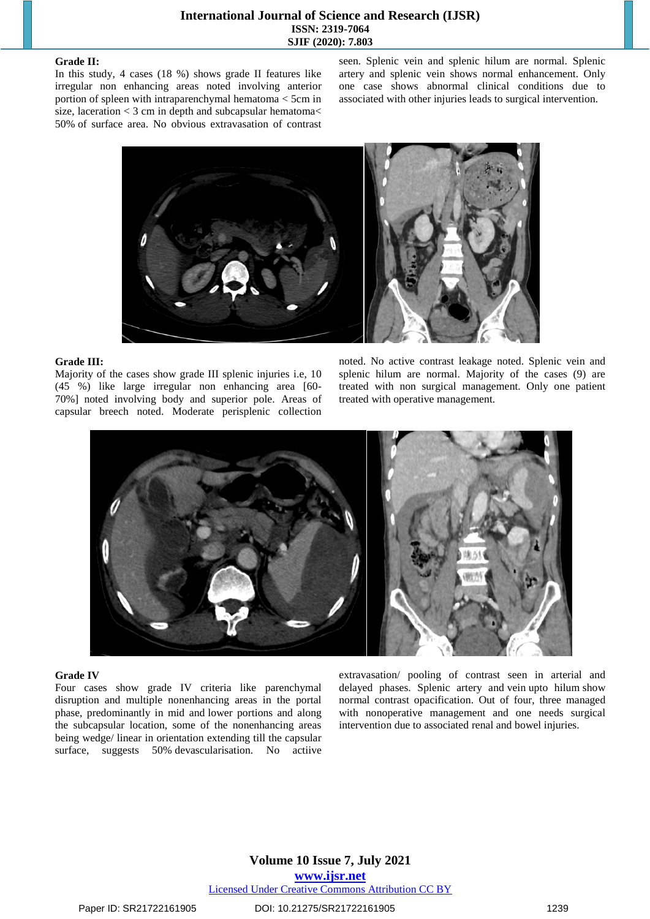#### **Grade II:**

In this study, 4 cases (18 %) shows grade II features like irregular non enhancing areas noted involving anterior portion of spleen with intraparenchymal hematoma < 5cm in size, laceration  $<$  3 cm in depth and subcapsular hematoma $<$ 50% of surface area. No obvious extravasation of contrast

seen. Splenic vein and splenic hilum are normal. Splenic artery and splenic vein shows normal enhancement. Only one case shows abnormal clinical conditions due to associated with other injuries leads to surgical intervention.



#### **Grade III:**

Majority of the cases show grade III splenic injuries i.e, 10 (45 %) like large irregular non enhancing area [60- 70%] noted involving body and superior pole. Areas of capsular breech noted. Moderate perisplenic collection

noted. No active contrast leakage noted. Splenic vein and splenic hilum are normal. Majority of the cases (9) are treated with non surgical management. Only one patient treated with operative management.



#### **Grade IV**

Four cases show grade IV criteria like parenchymal disruption and multiple nonenhancing areas in the portal phase, predominantly in mid and lower portions and along the subcapsular location, some of the nonenhancing areas being wedge/ linear in orientation extending till the capsular surface, suggests 50% devascularisation. No actiive extravasation/ pooling of contrast seen in arterial and delayed phases. Splenic artery and vein upto hilum show normal contrast opacification. Out of four, three managed with nonoperative management and one needs surgical intervention due to associated renal and bowel injuries.

# **Volume 10 Issue 7, July 2021 www.ijsr.net** Licensed Under Creative Commons Attribution CC BY

Paper ID: SR21722161905 DOI: 10.21275/SR21722161905 1239